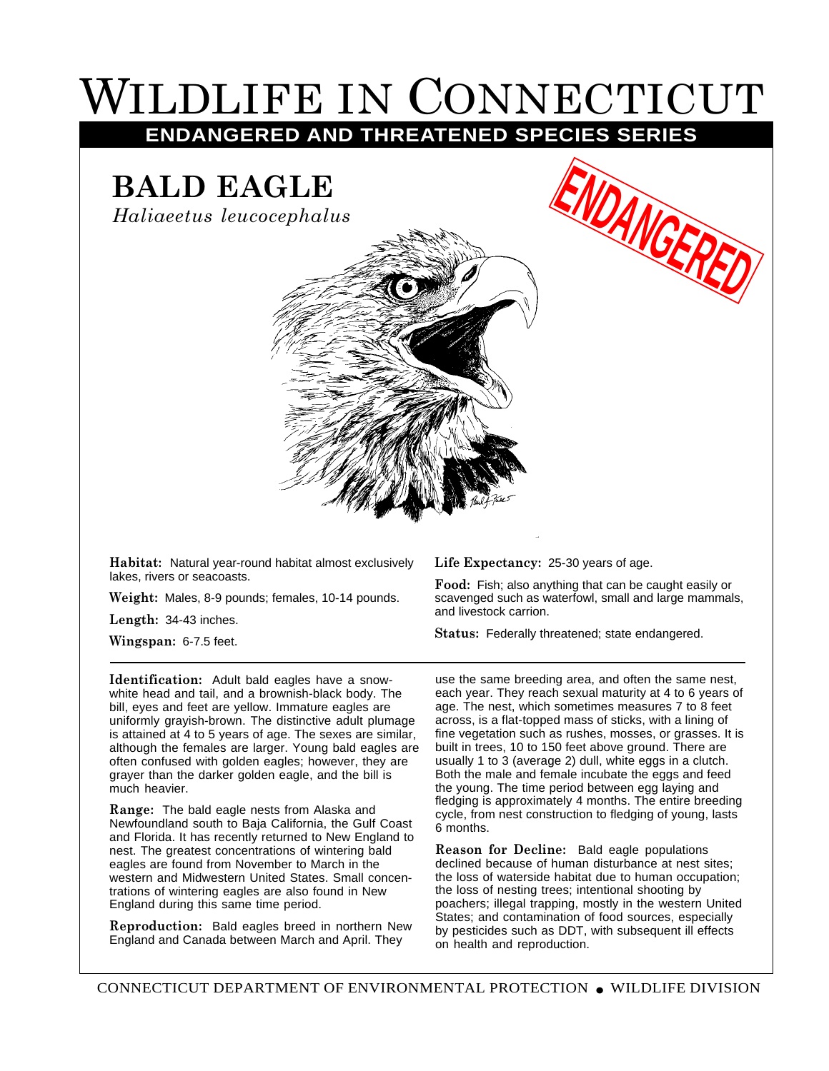## WILDLIFE IN CONNECTICUT

**ENDANGERED AND THREATENED SPECIES SERIES**

## **BALD EAGLE**

*Haliaeetus leucocephalus*



**Habitat:** Natural year-round habitat almost exclusively lakes, rivers or seacoasts.

**Weight:** Males, 8-9 pounds; females, 10-14 pounds.

**Length:** 34-43 inches.

**Wingspan:** 6-7.5 feet.

**Identification:** Adult bald eagles have a snowwhite head and tail, and a brownish-black body. The bill, eyes and feet are yellow. Immature eagles are uniformly grayish-brown. The distinctive adult plumage is attained at 4 to 5 years of age. The sexes are similar, although the females are larger. Young bald eagles are often confused with golden eagles; however, they are grayer than the darker golden eagle, and the bill is much heavier.

**Range:** The bald eagle nests from Alaska and Newfoundland south to Baja California, the Gulf Coast and Florida. It has recently returned to New England to nest. The greatest concentrations of wintering bald eagles are found from November to March in the western and Midwestern United States. Small concentrations of wintering eagles are also found in New England during this same time period.

**Reproduction:** Bald eagles breed in northern New England and Canada between March and April. They

**Life Expectancy:** 25-30 years of age.

**Food:** Fish; also anything that can be caught easily or scavenged such as waterfowl, small and large mammals, and livestock carrion.

**ENNGERE** 

**Status:** Federally threatened; state endangered.

use the same breeding area, and often the same nest, each year. They reach sexual maturity at 4 to 6 years of age. The nest, which sometimes measures 7 to 8 feet across, is a flat-topped mass of sticks, with a lining of fine vegetation such as rushes, mosses, or grasses. It is built in trees, 10 to 150 feet above ground. There are usually 1 to 3 (average 2) dull, white eggs in a clutch. Both the male and female incubate the eggs and feed the young. The time period between egg laying and fledging is approximately 4 months. The entire breeding cycle, from nest construction to fledging of young, lasts 6 months.

**Reason for Decline:** Bald eagle populations declined because of human disturbance at nest sites; the loss of waterside habitat due to human occupation; the loss of nesting trees; intentional shooting by poachers; illegal trapping, mostly in the western United States; and contamination of food sources, especially by pesticides such as DDT, with subsequent ill effects on health and reproduction.